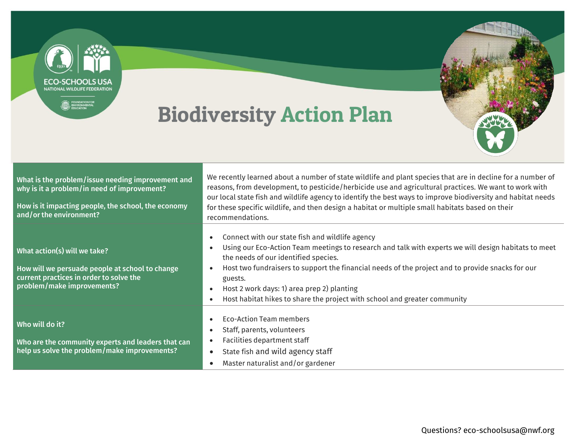

## Biodiversity Action Plan